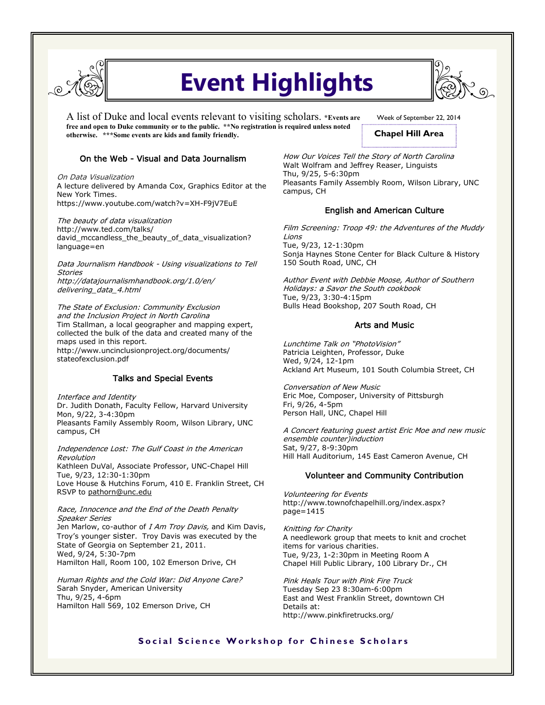

# **Event Highlights**

A list of Duke and local events relevant to visiting scholars. **\*Events are free and open to Duke community or to the public. \*\*No registration is required unless noted otherwise. \*\*\*Some events are kids and family friendly.** 



### On the Web - Visual and Data Journalism

On Data Visualization A lecture delivered by Amanda Cox, Graphics Editor at the New York Times. https://www.youtube.com/watch?v=XH-F9jV7EuE

The beauty of data visualization http://www.ted.com/talks/ david\_mccandless\_the\_beauty\_of\_data\_visualization? language=en

Data Journalism Handbook - Using visualizations to Tell **Stories** http://datajournalismhandbook.org/1.0/en/ delivering\_data\_4.html

The State of Exclusion: Community Exclusion and the Inclusion Project in North Carolina Tim Stallman, a local geographer and mapping expert, collected the bulk of the data and created many of the maps used in this report. http://www.uncinclusionproject.org/documents/ stateofexclusion.pdf

#### Talks and Special Events

Interface and Identity

Dr. Judith Donath, Faculty Fellow, Harvard University Mon, 9/22, 3-4:30pm Pleasants Family Assembly Room, Wilson Library, UNC campus, CH

Independence Lost: The Gulf Coast in the American Revolution Kathleen DuVal, Associate Professor, UNC-Chapel Hill Tue, 9/23, 12:30-1:30pm Love House & Hutchins Forum, 410 E. Franklin Street, CH RSVP to pathorn@unc.edu

#### Race, Innocence and the End of the Death Penalty Speaker Series

Jen Marlow, co-author of I Am Troy Davis, and Kim Davis, Troy's younger sister. Troy Davis was executed by the State of Georgia on September 21, 2011. Wed, 9/24, 5:30-7pm Hamilton Hall, Room 100, 102 Emerson Drive, CH

Human Rights and the Cold War: Did Anyone Care? Sarah Snyder, American University Thu, 9/25, 4-6pm Hamilton Hall 569, 102 Emerson Drive, CH

Week of September 22, 2014

**Chapel Hill Area**

How Our Voices Tell the Story of North Carolina Walt Wolfram and Jeffrey Reaser, Linguists Thu, 9/25, 5-6:30pm Pleasants Family Assembly Room, Wilson Library, UNC campus, CH

### English and American Culture

Film Screening: Troop 49: the Adventures of the Muddy Lions Tue, 9/23, 12-1:30pm Sonja Haynes Stone Center for Black Culture & History 150 South Road, UNC, CH

Author Event with Debbie Moose, Author of Southern Holidays: a Savor the South cookbook Tue, 9/23, 3:30-4:15pm Bulls Head Bookshop, 207 South Road, CH

### Arts and Music

Lunchtime Talk on "PhotoVision" Patricia Leighten, Professor, Duke Wed, 9/24, 12-1pm Ackland Art Museum, 101 South Columbia Street, CH

Conversation of New Music Eric Moe, Composer, University of Pittsburgh Fri, 9/26, 4-5pm Person Hall, UNC, Chapel Hill

A Concert featuring guest artist Eric Moe and new music ensemble counter)induction Sat, 9/27, 8-9:30pm Hill Hall Auditorium, 145 East Cameron Avenue, CH

### Volunteer and Community Contribution

Volunteering for Events http://www.townofchapelhill.org/index.aspx? page=1415

Knitting for Charity A needlework group that meets to knit and crochet items for various charities. Tue, 9/23, 1-2:30pm in Meeting Room A Chapel Hill Public Library, 100 Library Dr., CH

Pink Heals Tour with Pink Fire Truck Tuesday Sep 23 8:30am-6:00pm East and West Franklin Street, downtown CH Details at: http://www.pinkfiretrucks.org/

## **Social Science Workshop for Chinese Scholars**